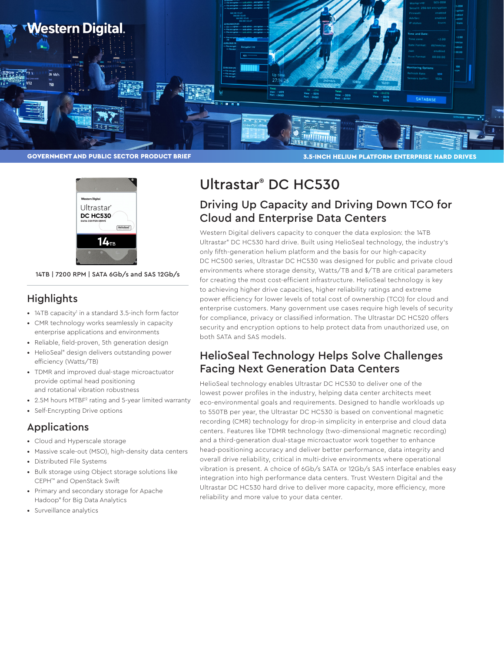



14TB | 7200 RPM | SATA 6Gb/s and SAS 12Gb/s

### **Highlights**

- 14TB capacity<sup>1</sup> in a standard 3.5-inch form factor
- CMR technology works seamlessly in capacity enterprise applications and environments
- Reliable, field-proven, 5th generation design
- HelioSeal® design delivers outstanding power efficiency (Watts/TB)
- TDMR and improved dual-stage microactuator provide optimal head positioning and rotational vibration robustness
- 2.5M hours MTBF<sup>2</sup> rating and 5-year limited warranty
- Self-Encrypting Drive options

## Applications

- Cloud and Hyperscale storage
- Massive scale-out (MSO), high-density data centers
- Distributed File Systems
- Bulk storage using Object storage solutions like CEPH™ and OpenStack Swift
- Primary and secondary storage for Apache Hadoop® for Big Data Analytics
- Surveillance analytics

# Ultrastar® DC HC530

# Driving Up Capacity and Driving Down TCO for Cloud and Enterprise Data Centers

Western Digital delivers capacity to conquer the data explosion: the 14TB Ultrastar® DC HC530 hard drive. Built using HelioSeal technology, the industry's only fifth-generation helium platform and the basis for our high-capacity DC HC500 series, Ultrastar DC HC530 was designed for public and private cloud environments where storage density, Watts/TB and \$/TB are critical parameters for creating the most cost-efficient infrastructure. HelioSeal technology is key to achieving higher drive capacities, higher reliability ratings and extreme power efficiency for lower levels of total cost of ownership (TCO) for cloud and enterprise customers. Many government use cases require high levels of security for compliance, privacy or classified information. The Ultrastar DC HC520 offers security and encryption options to help protect data from unauthorized use, on both SATA and SAS models.

# HelioSeal Technology Helps Solve Challenges Facing Next Generation Data Centers

HelioSeal technology enables Ultrastar DC HC530 to deliver one of the lowest power profiles in the industry, helping data center architects meet eco-environmental goals and requirements. Designed to handle workloads up to 550TB per year, the Ultrastar DC HC530 is based on conventional magnetic recording (CMR) technology for drop-in simplicity in enterprise and cloud data centers. Features like TDMR technology (two-dimensional magnetic recording) and a third-generation dual-stage microactuator work together to enhance head-positioning accuracy and deliver better performance, data integrity and overall drive reliability, critical in multi-drive environments where operational vibration is present. A choice of 6Gb/s SATA or 12Gb/s SAS interface enables easy integration into high performance data centers. Trust Western Digital and the Ultrastar DC HC530 hard drive to deliver more capacity, more efficiency, more reliability and more value to your data center.